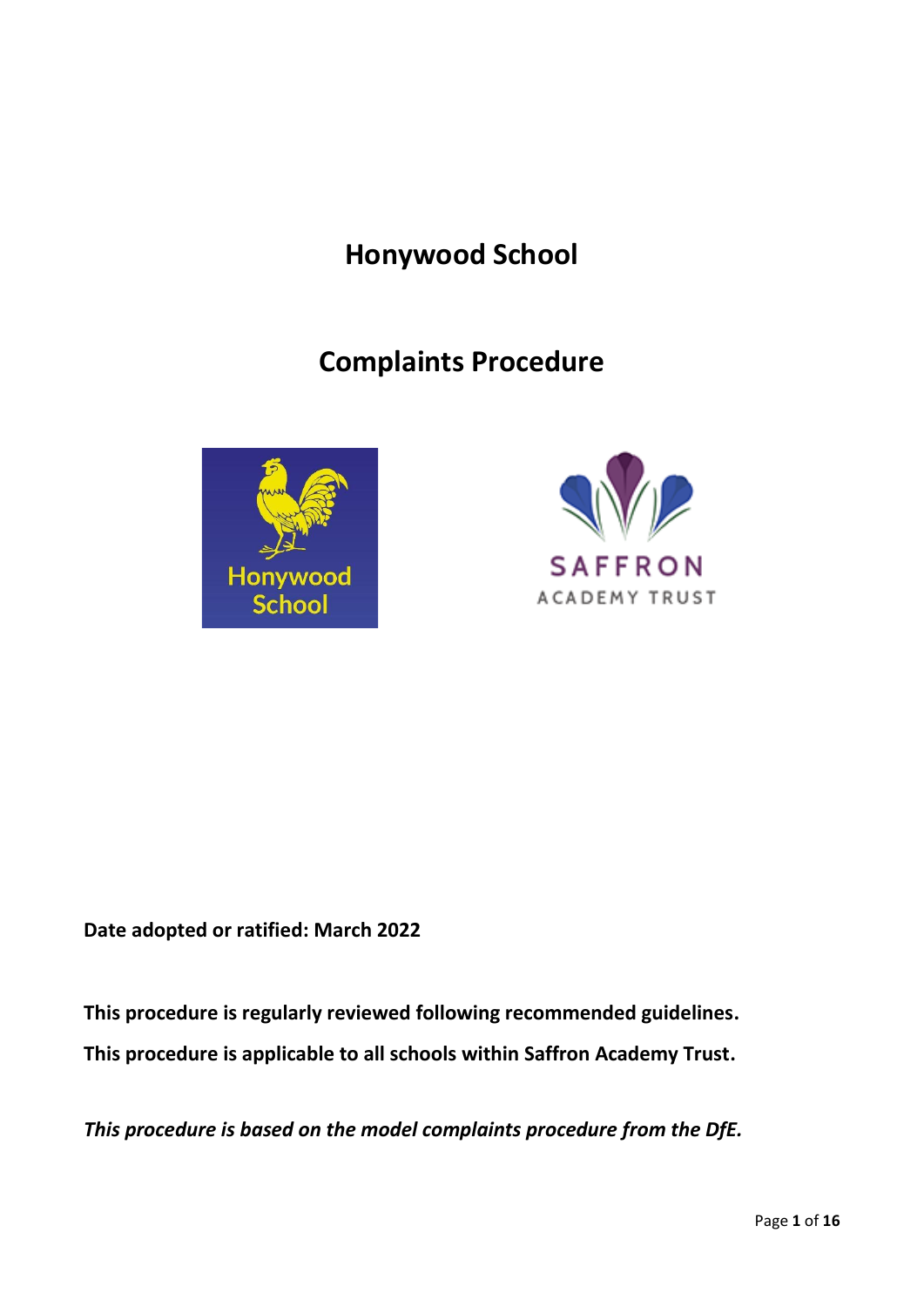# **Honywood School**

# **Complaints Procedure**





**Date adopted or ratified: March 2022**

**This procedure is regularly reviewed following recommended guidelines. This procedure is applicable to all schools within Saffron Academy Trust.**

*This procedure is based on the model complaints procedure from the DfE.*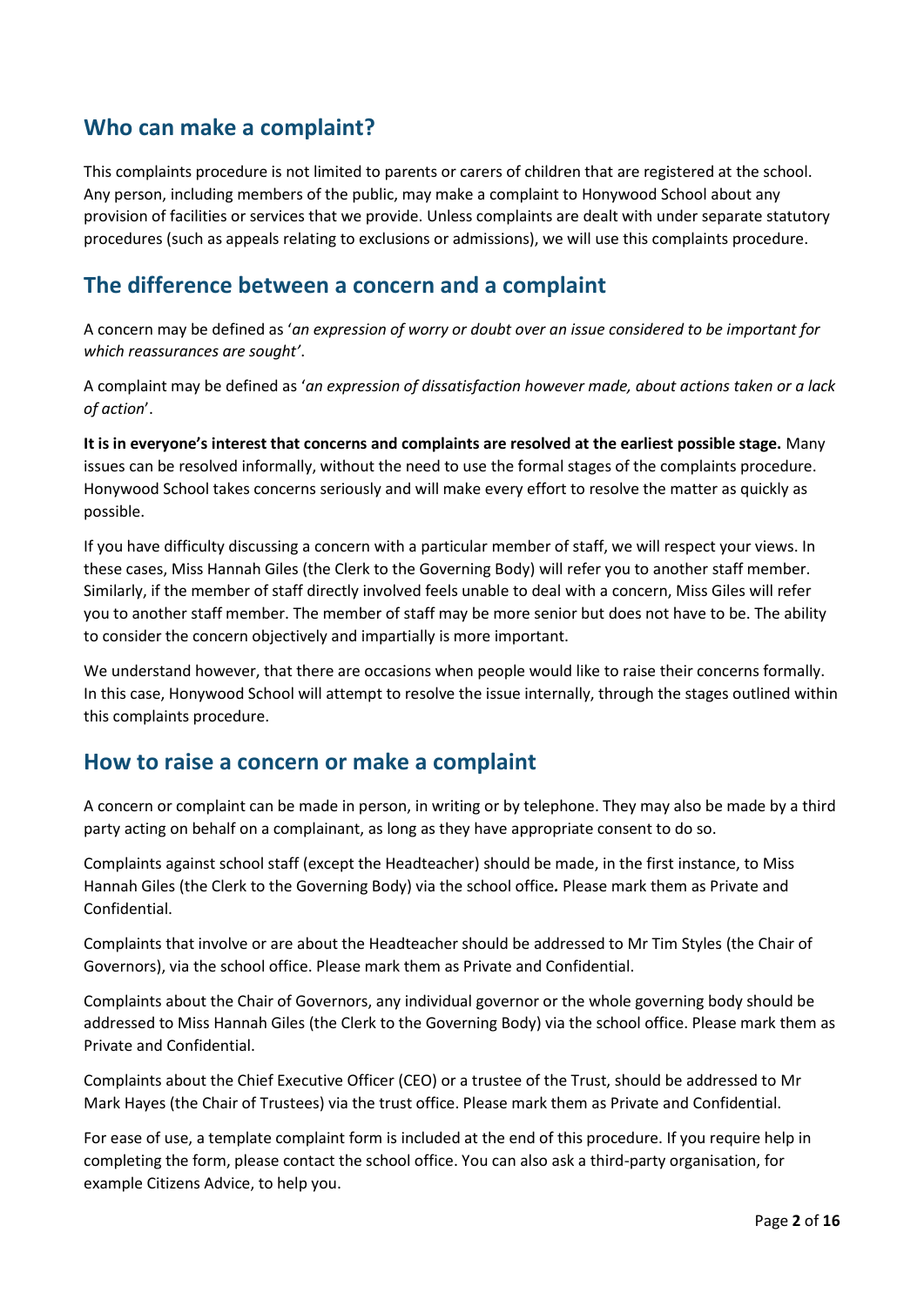#### **Who can make a complaint?**

This complaints procedure is not limited to parents or carers of children that are registered at the school. Any person, including members of the public, may make a complaint to Honywood School about any provision of facilities or services that we provide. Unless complaints are dealt with under separate statutory procedures (such as appeals relating to exclusions or admissions), we will use this complaints procedure.

#### **The difference between a concern and a complaint**

A concern may be defined as '*an expression of worry or doubt over an issue considered to be important for which reassurances are sought'*.

A complaint may be defined as '*an expression of dissatisfaction however made, about actions taken or a lack of action*'.

**It is in everyone's interest that concerns and complaints are resolved at the earliest possible stage.** Many issues can be resolved informally, without the need to use the formal stages of the complaints procedure. Honywood School takes concerns seriously and will make every effort to resolve the matter as quickly as possible.

If you have difficulty discussing a concern with a particular member of staff, we will respect your views. In these cases, Miss Hannah Giles (the Clerk to the Governing Body) will refer you to another staff member. Similarly, if the member of staff directly involved feels unable to deal with a concern, Miss Giles will refer you to another staff member. The member of staff may be more senior but does not have to be. The ability to consider the concern objectively and impartially is more important.

We understand however, that there are occasions when people would like to raise their concerns formally. In this case, Honywood School will attempt to resolve the issue internally, through the stages outlined within this complaints procedure.

#### **How to raise a concern or make a complaint**

A concern or complaint can be made in person, in writing or by telephone. They may also be made by a third party acting on behalf on a complainant, as long as they have appropriate consent to do so.

Complaints against school staff (except the Headteacher) should be made, in the first instance, to Miss Hannah Giles (the Clerk to the Governing Body) via the school office*.* Please mark them as Private and Confidential.

Complaints that involve or are about the Headteacher should be addressed to Mr Tim Styles (the Chair of Governors), via the school office. Please mark them as Private and Confidential.

Complaints about the Chair of Governors, any individual governor or the whole governing body should be addressed to Miss Hannah Giles (the Clerk to the Governing Body) via the school office. Please mark them as Private and Confidential.

Complaints about the Chief Executive Officer (CEO) or a trustee of the Trust, should be addressed to Mr Mark Hayes (the Chair of Trustees) via the trust office. Please mark them as Private and Confidential.

For ease of use, a template complaint form is included at the end of this procedure. If you require help in completing the form, please contact the school office. You can also ask a third-party organisation, for example Citizens Advice, to help you.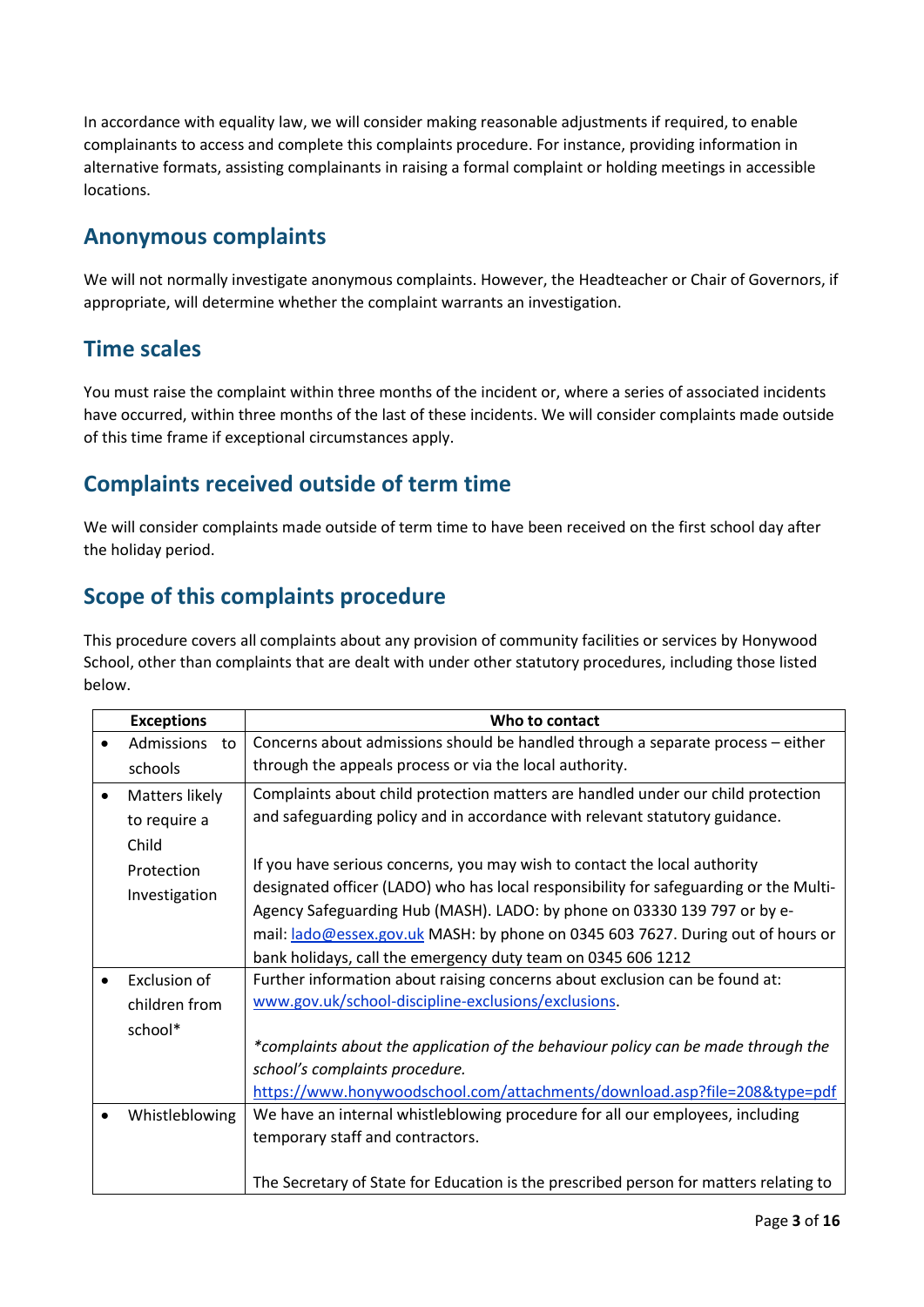In accordance with equality law, we will consider making reasonable adjustments if required, to enable complainants to access and complete this complaints procedure. For instance, providing information in alternative formats, assisting complainants in raising a formal complaint or holding meetings in accessible locations.

### **Anonymous complaints**

We will not normally investigate anonymous complaints. However, the Headteacher or Chair of Governors, if appropriate, will determine whether the complaint warrants an investigation.

### **Time scales**

You must raise the complaint within three months of the incident or, where a series of associated incidents have occurred, within three months of the last of these incidents. We will consider complaints made outside of this time frame if exceptional circumstances apply.

### **Complaints received outside of term time**

We will consider complaints made outside of term time to have been received on the first school day after the holiday period.

### **Scope of this complaints procedure**

This procedure covers all complaints about any provision of community facilities or services by Honywood School, other than complaints that are dealt with under other statutory procedures, including those listed below.

| <b>Exceptions</b>       | Who to contact                                                                        |
|-------------------------|---------------------------------------------------------------------------------------|
| <b>Admissions</b><br>to | Concerns about admissions should be handled through a separate process - either       |
| schools                 | through the appeals process or via the local authority.                               |
| Matters likely          | Complaints about child protection matters are handled under our child protection      |
| to require a            | and safeguarding policy and in accordance with relevant statutory guidance.           |
| Child                   |                                                                                       |
| Protection              | If you have serious concerns, you may wish to contact the local authority             |
| Investigation           | designated officer (LADO) who has local responsibility for safeguarding or the Multi- |
|                         | Agency Safeguarding Hub (MASH). LADO: by phone on 03330 139 797 or by e-              |
|                         | mail: lado@essex.gov.uk MASH: by phone on 0345 603 7627. During out of hours or       |
|                         | bank holidays, call the emergency duty team on 0345 606 1212                          |
| Exclusion of            | Further information about raising concerns about exclusion can be found at:           |
| children from           | www.gov.uk/school-discipline-exclusions/exclusions.                                   |
| school*                 |                                                                                       |
|                         | *complaints about the application of the behaviour policy can be made through the     |
|                         | school's complaints procedure.                                                        |
|                         | https://www.honywoodschool.com/attachments/download.asp?file=208&type=pdf             |
| Whistleblowing          | We have an internal whistleblowing procedure for all our employees, including         |
|                         | temporary staff and contractors.                                                      |
|                         |                                                                                       |
|                         | The Secretary of State for Education is the prescribed person for matters relating to |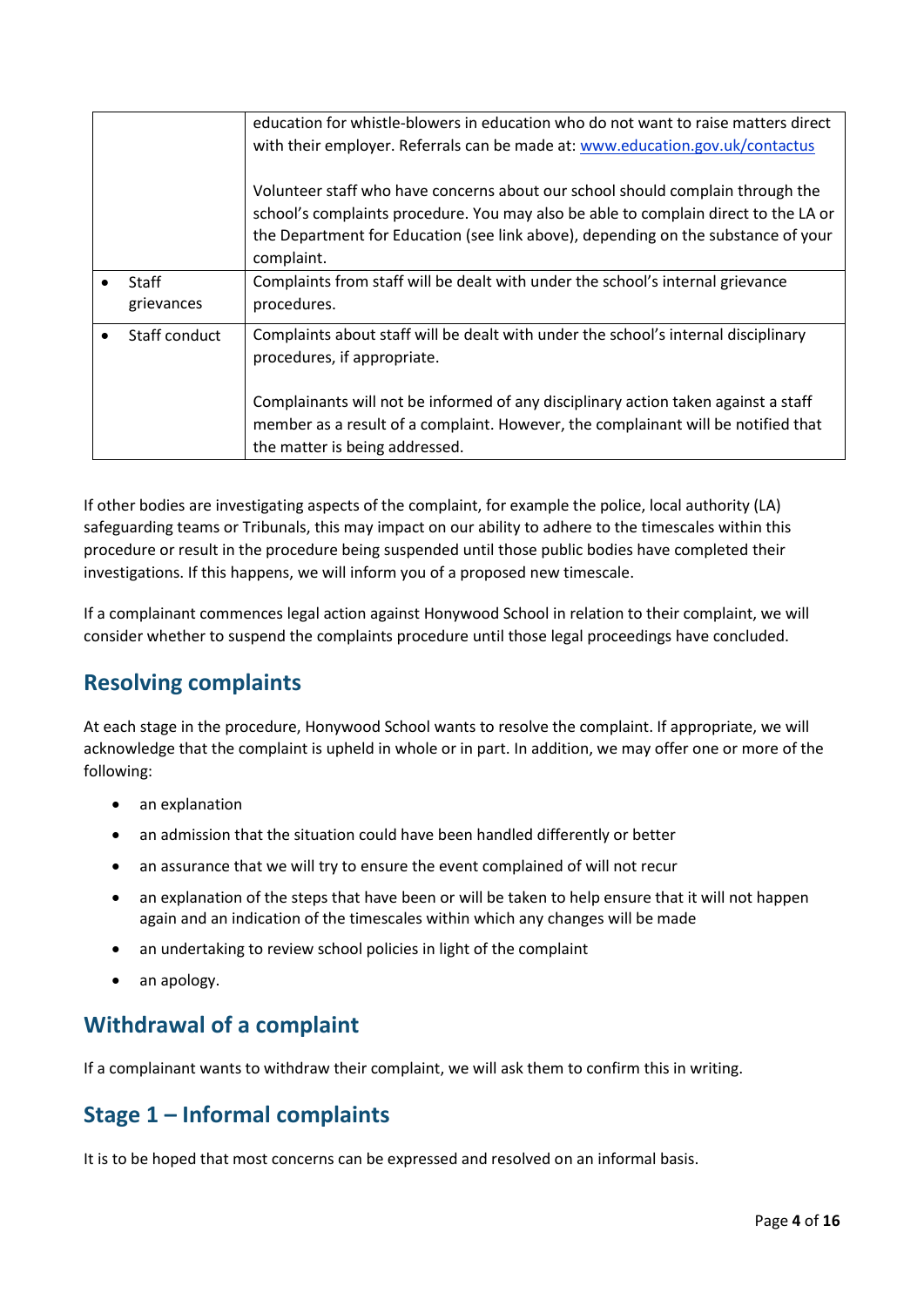|                     | education for whistle-blowers in education who do not want to raise matters direct<br>with their employer. Referrals can be made at: www.education.gov.uk/contactus<br>Volunteer staff who have concerns about our school should complain through the<br>school's complaints procedure. You may also be able to complain direct to the LA or |
|---------------------|----------------------------------------------------------------------------------------------------------------------------------------------------------------------------------------------------------------------------------------------------------------------------------------------------------------------------------------------|
|                     | the Department for Education (see link above), depending on the substance of your<br>complaint.                                                                                                                                                                                                                                              |
| Staff<br>grievances | Complaints from staff will be dealt with under the school's internal grievance<br>procedures.                                                                                                                                                                                                                                                |
| Staff conduct       | Complaints about staff will be dealt with under the school's internal disciplinary<br>procedures, if appropriate.                                                                                                                                                                                                                            |
|                     | Complainants will not be informed of any disciplinary action taken against a staff<br>member as a result of a complaint. However, the complainant will be notified that                                                                                                                                                                      |
|                     | the matter is being addressed.                                                                                                                                                                                                                                                                                                               |

If other bodies are investigating aspects of the complaint, for example the police, local authority (LA) safeguarding teams or Tribunals, this may impact on our ability to adhere to the timescales within this procedure or result in the procedure being suspended until those public bodies have completed their investigations. If this happens, we will inform you of a proposed new timescale.

If a complainant commences legal action against Honywood School in relation to their complaint, we will consider whether to suspend the complaints procedure until those legal proceedings have concluded.

### **Resolving complaints**

At each stage in the procedure, Honywood School wants to resolve the complaint. If appropriate, we will acknowledge that the complaint is upheld in whole or in part. In addition, we may offer one or more of the following:

- an explanation
- an admission that the situation could have been handled differently or better
- an assurance that we will try to ensure the event complained of will not recur
- an explanation of the steps that have been or will be taken to help ensure that it will not happen again and an indication of the timescales within which any changes will be made
- an undertaking to review school policies in light of the complaint
- an apology.

### **Withdrawal of a complaint**

If a complainant wants to withdraw their complaint, we will ask them to confirm this in writing.

### **Stage 1 – Informal complaints**

It is to be hoped that most concerns can be expressed and resolved on an informal basis.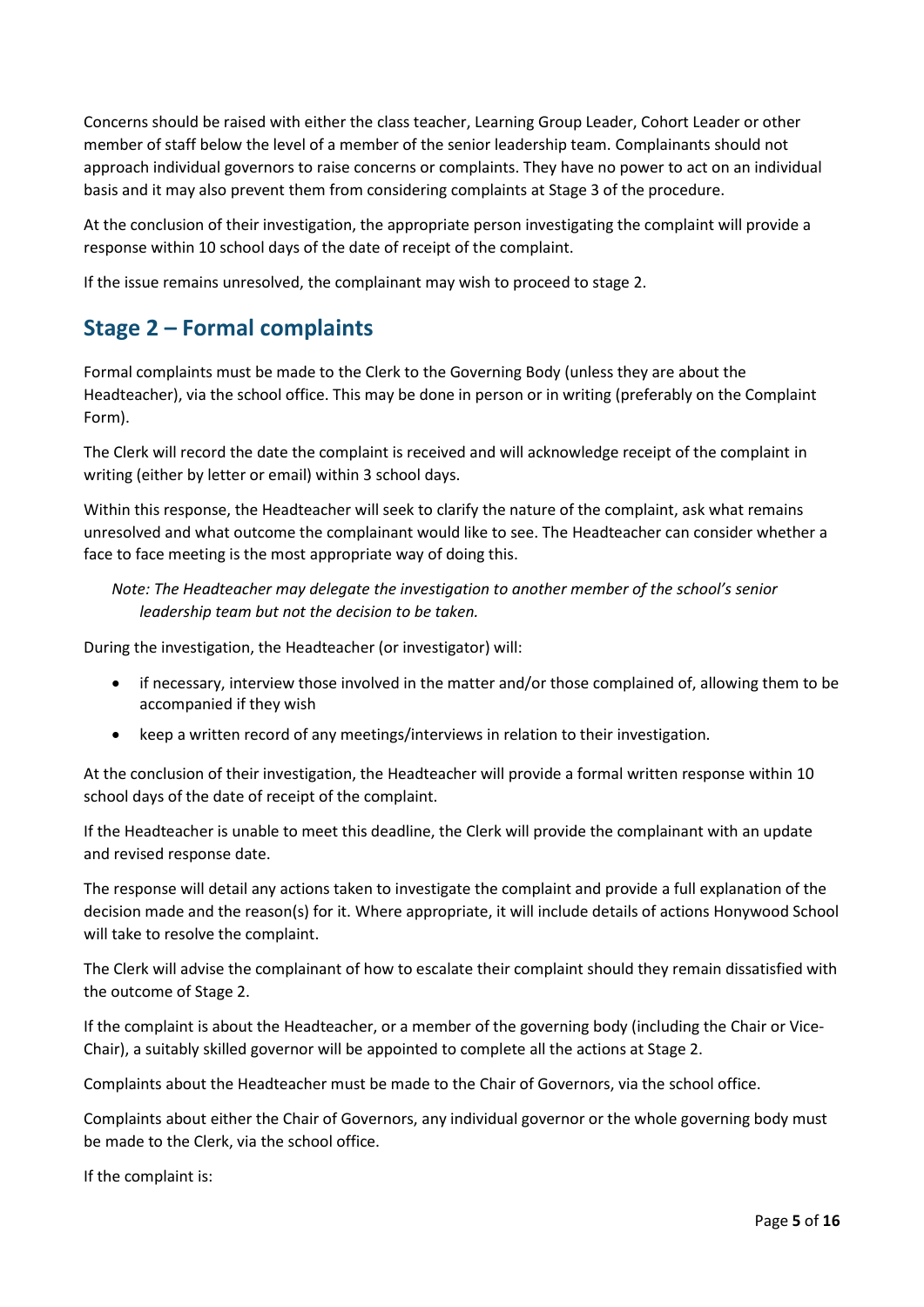Concerns should be raised with either the class teacher, Learning Group Leader, Cohort Leader or other member of staff below the level of a member of the senior leadership team. Complainants should not approach individual governors to raise concerns or complaints. They have no power to act on an individual basis and it may also prevent them from considering complaints at Stage 3 of the procedure.

At the conclusion of their investigation, the appropriate person investigating the complaint will provide a response within 10 school days of the date of receipt of the complaint.

If the issue remains unresolved, the complainant may wish to proceed to stage 2.

## **Stage 2 – Formal complaints**

Formal complaints must be made to the Clerk to the Governing Body (unless they are about the Headteacher), via the school office. This may be done in person or in writing (preferably on the Complaint Form).

The Clerk will record the date the complaint is received and will acknowledge receipt of the complaint in writing (either by letter or email) within 3 school days.

Within this response, the Headteacher will seek to clarify the nature of the complaint, ask what remains unresolved and what outcome the complainant would like to see. The Headteacher can consider whether a face to face meeting is the most appropriate way of doing this.

*Note: The Headteacher may delegate the investigation to another member of the school's senior leadership team but not the decision to be taken.*

During the investigation, the Headteacher (or investigator) will:

- if necessary, interview those involved in the matter and/or those complained of, allowing them to be accompanied if they wish
- keep a written record of any meetings/interviews in relation to their investigation.

At the conclusion of their investigation, the Headteacher will provide a formal written response within 10 school days of the date of receipt of the complaint.

If the Headteacher is unable to meet this deadline, the Clerk will provide the complainant with an update and revised response date.

The response will detail any actions taken to investigate the complaint and provide a full explanation of the decision made and the reason(s) for it. Where appropriate, it will include details of actions Honywood School will take to resolve the complaint.

The Clerk will advise the complainant of how to escalate their complaint should they remain dissatisfied with the outcome of Stage 2.

If the complaint is about the Headteacher, or a member of the governing body (including the Chair or Vice-Chair), a suitably skilled governor will be appointed to complete all the actions at Stage 2.

Complaints about the Headteacher must be made to the Chair of Governors, via the school office.

Complaints about either the Chair of Governors, any individual governor or the whole governing body must be made to the Clerk, via the school office.

If the complaint is: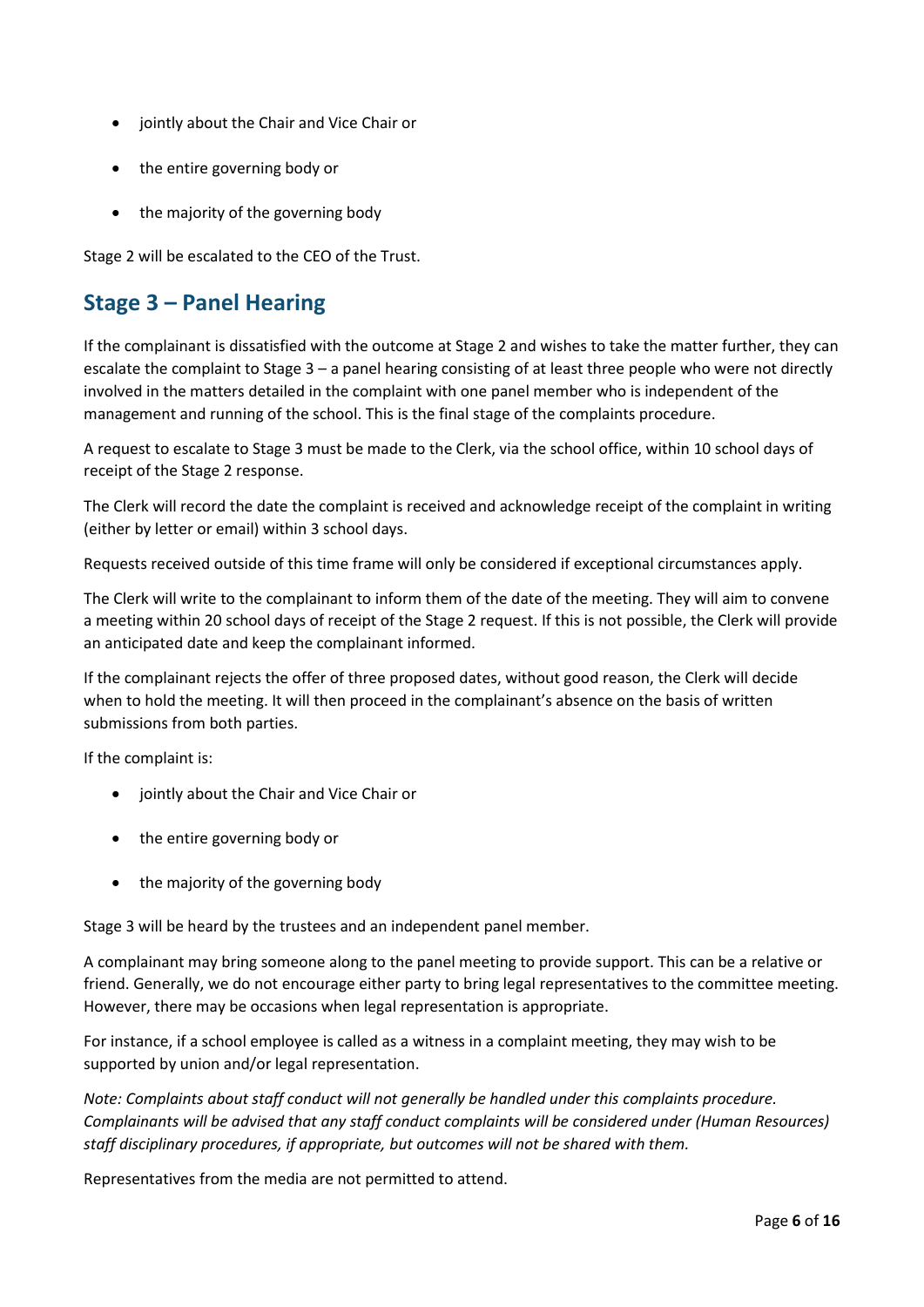- jointly about the Chair and Vice Chair or
- the entire governing body or
- the majority of the governing body

Stage 2 will be escalated to the CEO of the Trust.

### **Stage 3 – Panel Hearing**

If the complainant is dissatisfied with the outcome at Stage 2 and wishes to take the matter further, they can escalate the complaint to Stage 3 – a panel hearing consisting of at least three people who were not directly involved in the matters detailed in the complaint with one panel member who is independent of the management and running of the school. This is the final stage of the complaints procedure.

A request to escalate to Stage 3 must be made to the Clerk, via the school office, within 10 school days of receipt of the Stage 2 response.

The Clerk will record the date the complaint is received and acknowledge receipt of the complaint in writing (either by letter or email) within 3 school days.

Requests received outside of this time frame will only be considered if exceptional circumstances apply.

The Clerk will write to the complainant to inform them of the date of the meeting. They will aim to convene a meeting within 20 school days of receipt of the Stage 2 request. If this is not possible, the Clerk will provide an anticipated date and keep the complainant informed.

If the complainant rejects the offer of three proposed dates, without good reason, the Clerk will decide when to hold the meeting. It will then proceed in the complainant's absence on the basis of written submissions from both parties.

If the complaint is:

- jointly about the Chair and Vice Chair or
- the entire governing body or
- the majority of the governing body

Stage 3 will be heard by the trustees and an independent panel member.

A complainant may bring someone along to the panel meeting to provide support. This can be a relative or friend. Generally, we do not encourage either party to bring legal representatives to the committee meeting. However, there may be occasions when legal representation is appropriate.

For instance, if a school employee is called as a witness in a complaint meeting, they may wish to be supported by union and/or legal representation.

*Note: Complaints about staff conduct will not generally be handled under this complaints procedure. Complainants will be advised that any staff conduct complaints will be considered under (Human Resources) staff disciplinary procedures, if appropriate, but outcomes will not be shared with them.* 

Representatives from the media are not permitted to attend.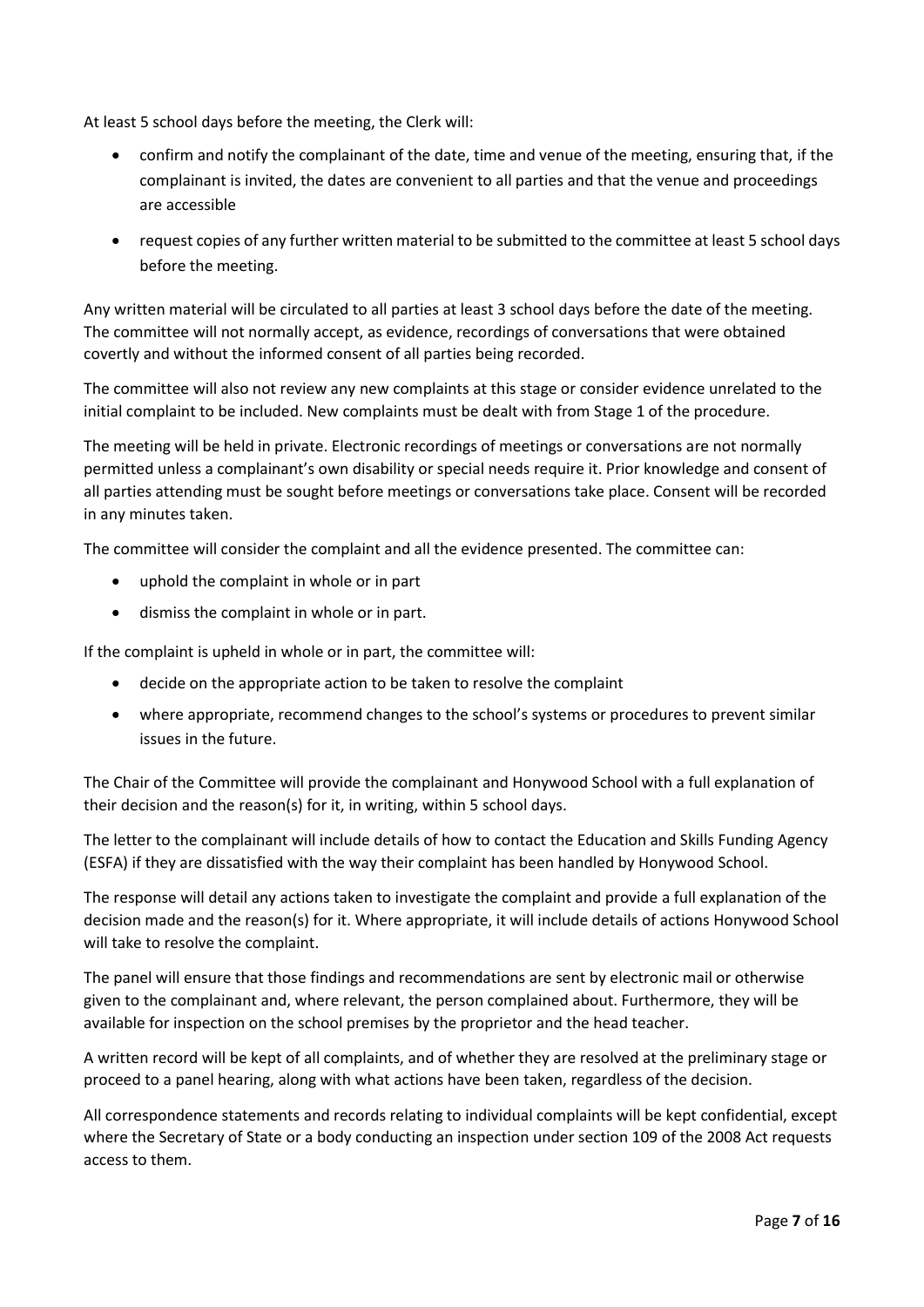At least 5 school days before the meeting, the Clerk will:

- confirm and notify the complainant of the date, time and venue of the meeting, ensuring that, if the complainant is invited, the dates are convenient to all parties and that the venue and proceedings are accessible
- request copies of any further written material to be submitted to the committee at least 5 school days before the meeting.

Any written material will be circulated to all parties at least 3 school days before the date of the meeting. The committee will not normally accept, as evidence, recordings of conversations that were obtained covertly and without the informed consent of all parties being recorded.

The committee will also not review any new complaints at this stage or consider evidence unrelated to the initial complaint to be included. New complaints must be dealt with from Stage 1 of the procedure.

The meeting will be held in private. Electronic recordings of meetings or conversations are not normally permitted unless a complainant's own disability or special needs require it. Prior knowledge and consent of all parties attending must be sought before meetings or conversations take place. Consent will be recorded in any minutes taken.

The committee will consider the complaint and all the evidence presented. The committee can:

- uphold the complaint in whole or in part
- dismiss the complaint in whole or in part.

If the complaint is upheld in whole or in part, the committee will:

- decide on the appropriate action to be taken to resolve the complaint
- where appropriate, recommend changes to the school's systems or procedures to prevent similar issues in the future.

The Chair of the Committee will provide the complainant and Honywood School with a full explanation of their decision and the reason(s) for it, in writing, within 5 school days.

The letter to the complainant will include details of how to contact the Education and Skills Funding Agency (ESFA) if they are dissatisfied with the way their complaint has been handled by Honywood School.

The response will detail any actions taken to investigate the complaint and provide a full explanation of the decision made and the reason(s) for it. Where appropriate, it will include details of actions Honywood School will take to resolve the complaint.

The panel will ensure that those findings and recommendations are sent by electronic mail or otherwise given to the complainant and, where relevant, the person complained about. Furthermore, they will be available for inspection on the school premises by the proprietor and the head teacher.

A written record will be kept of all complaints, and of whether they are resolved at the preliminary stage or proceed to a panel hearing, along with what actions have been taken, regardless of the decision.

All correspondence statements and records relating to individual complaints will be kept confidential, except where the Secretary of State or a body conducting an inspection under section 109 of the 2008 Act requests access to them.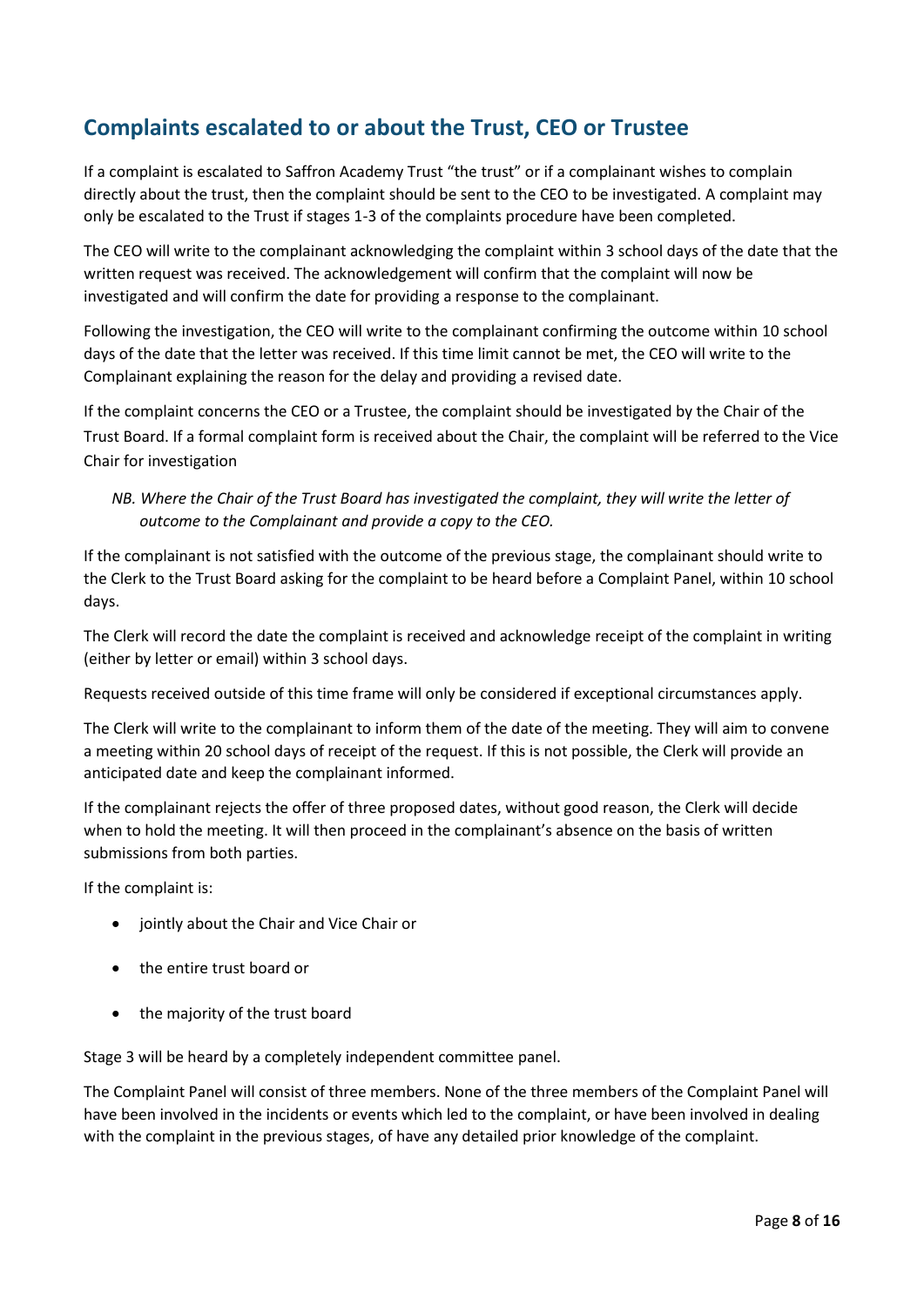## **Complaints escalated to or about the Trust, CEO or Trustee**

If a complaint is escalated to Saffron Academy Trust "the trust" or if a complainant wishes to complain directly about the trust, then the complaint should be sent to the CEO to be investigated. A complaint may only be escalated to the Trust if stages 1-3 of the complaints procedure have been completed.

The CEO will write to the complainant acknowledging the complaint within 3 school days of the date that the written request was received. The acknowledgement will confirm that the complaint will now be investigated and will confirm the date for providing a response to the complainant.

Following the investigation, the CEO will write to the complainant confirming the outcome within 10 school days of the date that the letter was received. If this time limit cannot be met, the CEO will write to the Complainant explaining the reason for the delay and providing a revised date.

If the complaint concerns the CEO or a Trustee, the complaint should be investigated by the Chair of the Trust Board. If a formal complaint form is received about the Chair, the complaint will be referred to the Vice Chair for investigation

#### *NB. Where the Chair of the Trust Board has investigated the complaint, they will write the letter of outcome to the Complainant and provide a copy to the CEO.*

If the complainant is not satisfied with the outcome of the previous stage, the complainant should write to the Clerk to the Trust Board asking for the complaint to be heard before a Complaint Panel, within 10 school days.

The Clerk will record the date the complaint is received and acknowledge receipt of the complaint in writing (either by letter or email) within 3 school days.

Requests received outside of this time frame will only be considered if exceptional circumstances apply.

The Clerk will write to the complainant to inform them of the date of the meeting. They will aim to convene a meeting within 20 school days of receipt of the request. If this is not possible, the Clerk will provide an anticipated date and keep the complainant informed.

If the complainant rejects the offer of three proposed dates, without good reason, the Clerk will decide when to hold the meeting. It will then proceed in the complainant's absence on the basis of written submissions from both parties.

If the complaint is:

- jointly about the Chair and Vice Chair or
- the entire trust board or
- the majority of the trust board

Stage 3 will be heard by a completely independent committee panel.

The Complaint Panel will consist of three members. None of the three members of the Complaint Panel will have been involved in the incidents or events which led to the complaint, or have been involved in dealing with the complaint in the previous stages, of have any detailed prior knowledge of the complaint.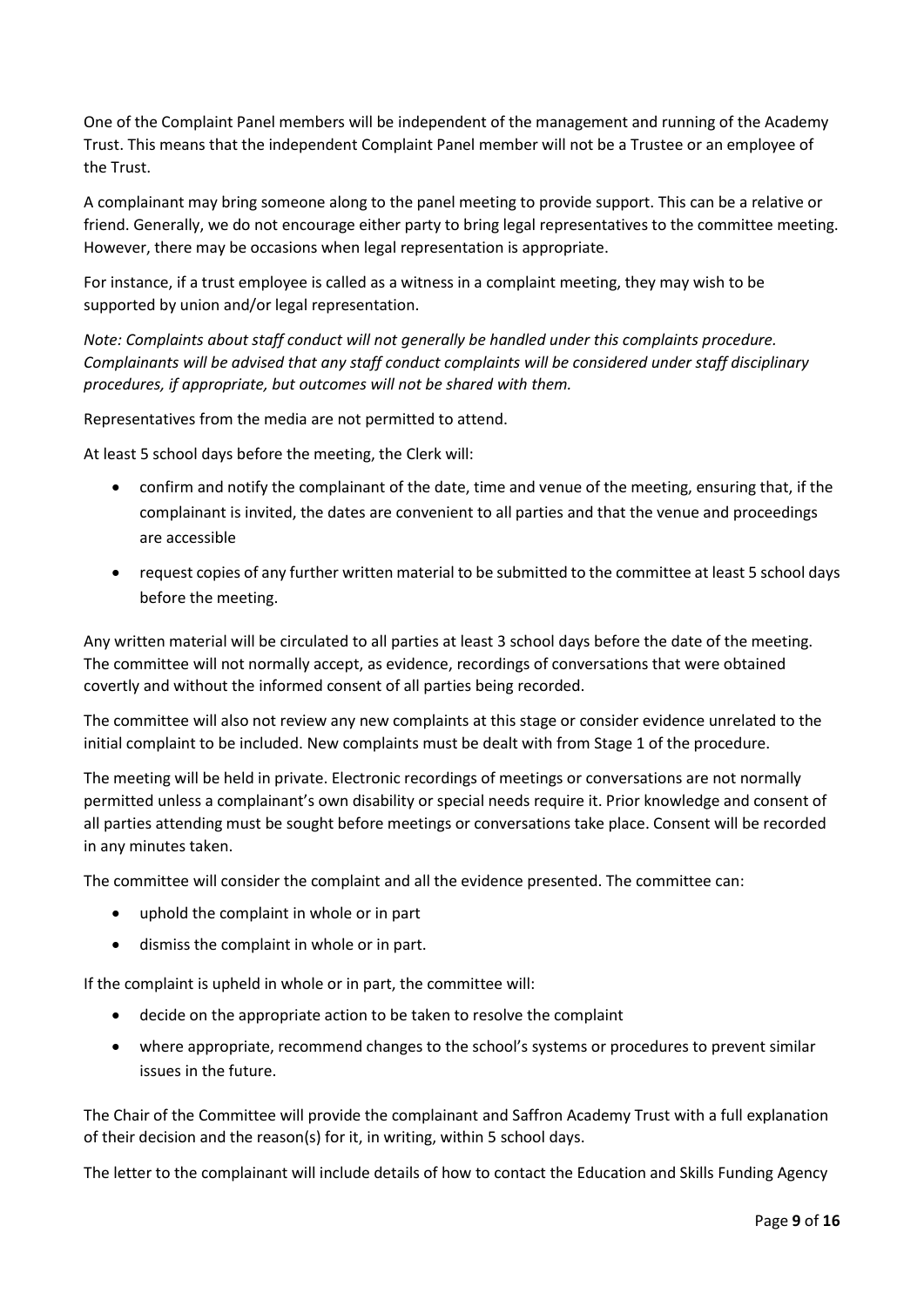One of the Complaint Panel members will be independent of the management and running of the Academy Trust. This means that the independent Complaint Panel member will not be a Trustee or an employee of the Trust.

A complainant may bring someone along to the panel meeting to provide support. This can be a relative or friend. Generally, we do not encourage either party to bring legal representatives to the committee meeting. However, there may be occasions when legal representation is appropriate.

For instance, if a trust employee is called as a witness in a complaint meeting, they may wish to be supported by union and/or legal representation.

*Note: Complaints about staff conduct will not generally be handled under this complaints procedure. Complainants will be advised that any staff conduct complaints will be considered under staff disciplinary procedures, if appropriate, but outcomes will not be shared with them.* 

Representatives from the media are not permitted to attend.

At least 5 school days before the meeting, the Clerk will:

- confirm and notify the complainant of the date, time and venue of the meeting, ensuring that, if the complainant is invited, the dates are convenient to all parties and that the venue and proceedings are accessible
- request copies of any further written material to be submitted to the committee at least 5 school days before the meeting.

Any written material will be circulated to all parties at least 3 school days before the date of the meeting. The committee will not normally accept, as evidence, recordings of conversations that were obtained covertly and without the informed consent of all parties being recorded.

The committee will also not review any new complaints at this stage or consider evidence unrelated to the initial complaint to be included. New complaints must be dealt with from Stage 1 of the procedure.

The meeting will be held in private. Electronic recordings of meetings or conversations are not normally permitted unless a complainant's own disability or special needs require it. Prior knowledge and consent of all parties attending must be sought before meetings or conversations take place. Consent will be recorded in any minutes taken.

The committee will consider the complaint and all the evidence presented. The committee can:

- uphold the complaint in whole or in part
- dismiss the complaint in whole or in part.

If the complaint is upheld in whole or in part, the committee will:

- decide on the appropriate action to be taken to resolve the complaint
- where appropriate, recommend changes to the school's systems or procedures to prevent similar issues in the future.

The Chair of the Committee will provide the complainant and Saffron Academy Trust with a full explanation of their decision and the reason(s) for it, in writing, within 5 school days.

The letter to the complainant will include details of how to contact the Education and Skills Funding Agency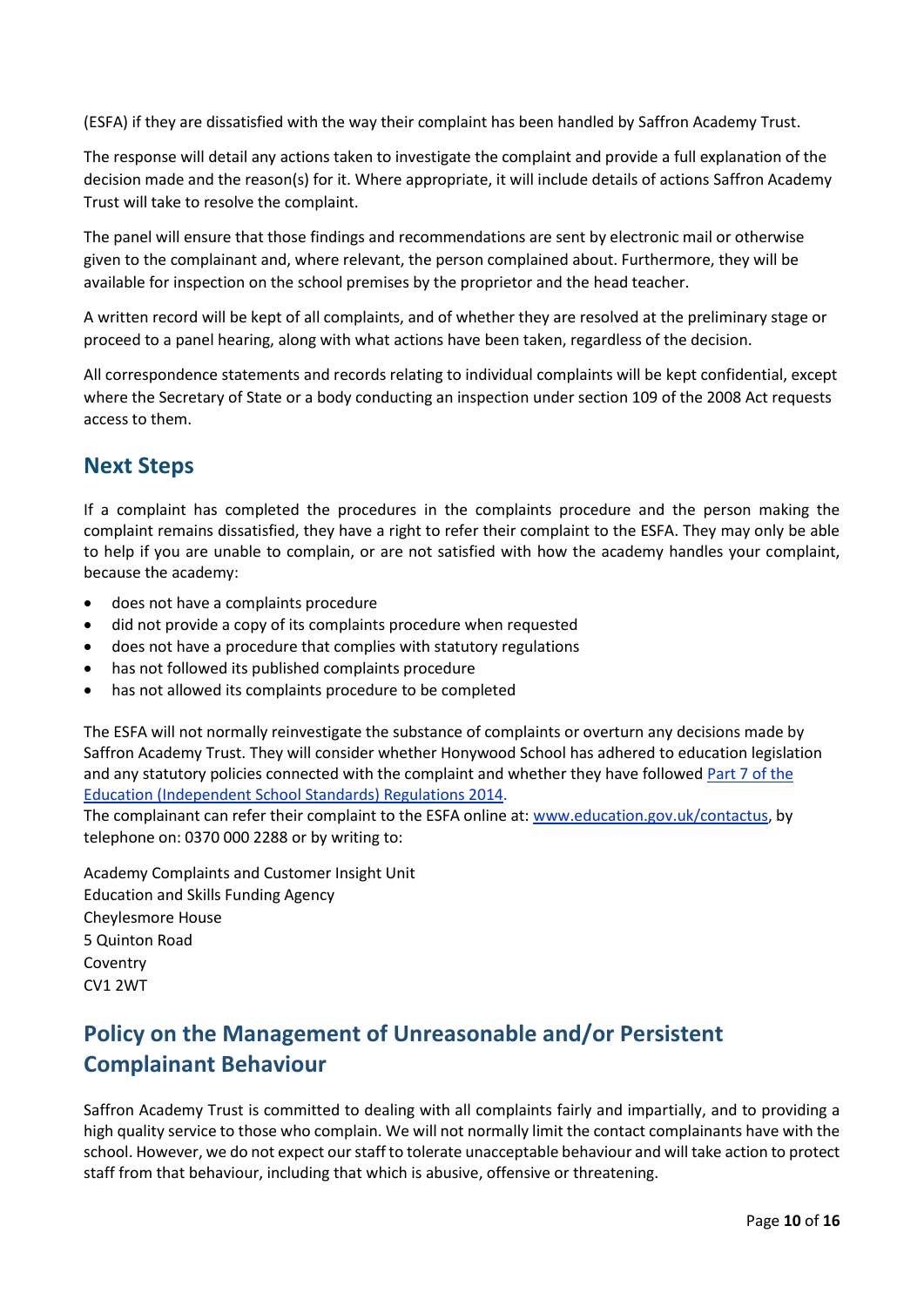(ESFA) if they are dissatisfied with the way their complaint has been handled by Saffron Academy Trust.

The response will detail any actions taken to investigate the complaint and provide a full explanation of the decision made and the reason(s) for it. Where appropriate, it will include details of actions Saffron Academy Trust will take to resolve the complaint.

The panel will ensure that those findings and recommendations are sent by electronic mail or otherwise given to the complainant and, where relevant, the person complained about. Furthermore, they will be available for inspection on the school premises by the proprietor and the head teacher.

A written record will be kept of all complaints, and of whether they are resolved at the preliminary stage or proceed to a panel hearing, along with what actions have been taken, regardless of the decision.

All correspondence statements and records relating to individual complaints will be kept confidential, except where the Secretary of State or a body conducting an inspection under section 109 of the 2008 Act requests access to them.

#### **Next Steps**

If a complaint has completed the procedures in the complaints procedure and the person making the complaint remains dissatisfied, they have a right to refer their complaint to the ESFA. They may only be able to help if you are unable to complain, or are not satisfied with how the academy handles your complaint, because the academy:

- does not have a complaints procedure
- did not provide a copy of its complaints procedure when requested
- does not have a procedure that complies with statutory regulations
- has not followed its published complaints procedure
- has not allowed its complaints procedure to be completed

The ESFA will not normally reinvestigate the substance of complaints or overturn any decisions made by Saffron Academy Trust. They will consider whether Honywood School has adhered to education legislation and any statutory policies connected with the complaint and whether they have followe[d Part 7 of the](http://www.legislation.gov.uk/uksi/2010/1997/schedule/1/made)  [Education \(Independent School Standards\) Regulations 2014.](http://www.legislation.gov.uk/uksi/2010/1997/schedule/1/made)

The complainant can refer their complaint to the ESFA online at[: www.education.gov.uk/contactus,](http://www.education.gov.uk/contactus) by telephone on: 0370 000 2288 or by writing to:

Academy Complaints and Customer Insight Unit Education and Skills Funding Agency Cheylesmore House 5 Quinton Road Coventry CV1 2WT

# **Policy on the Management of Unreasonable and/or Persistent Complainant Behaviour**

Saffron Academy Trust is committed to dealing with all complaints fairly and impartially, and to providing a high quality service to those who complain. We will not normally limit the contact complainants have with the school. However, we do not expect our staff to tolerate unacceptable behaviour and will take action to protect staff from that behaviour, including that which is abusive, offensive or threatening.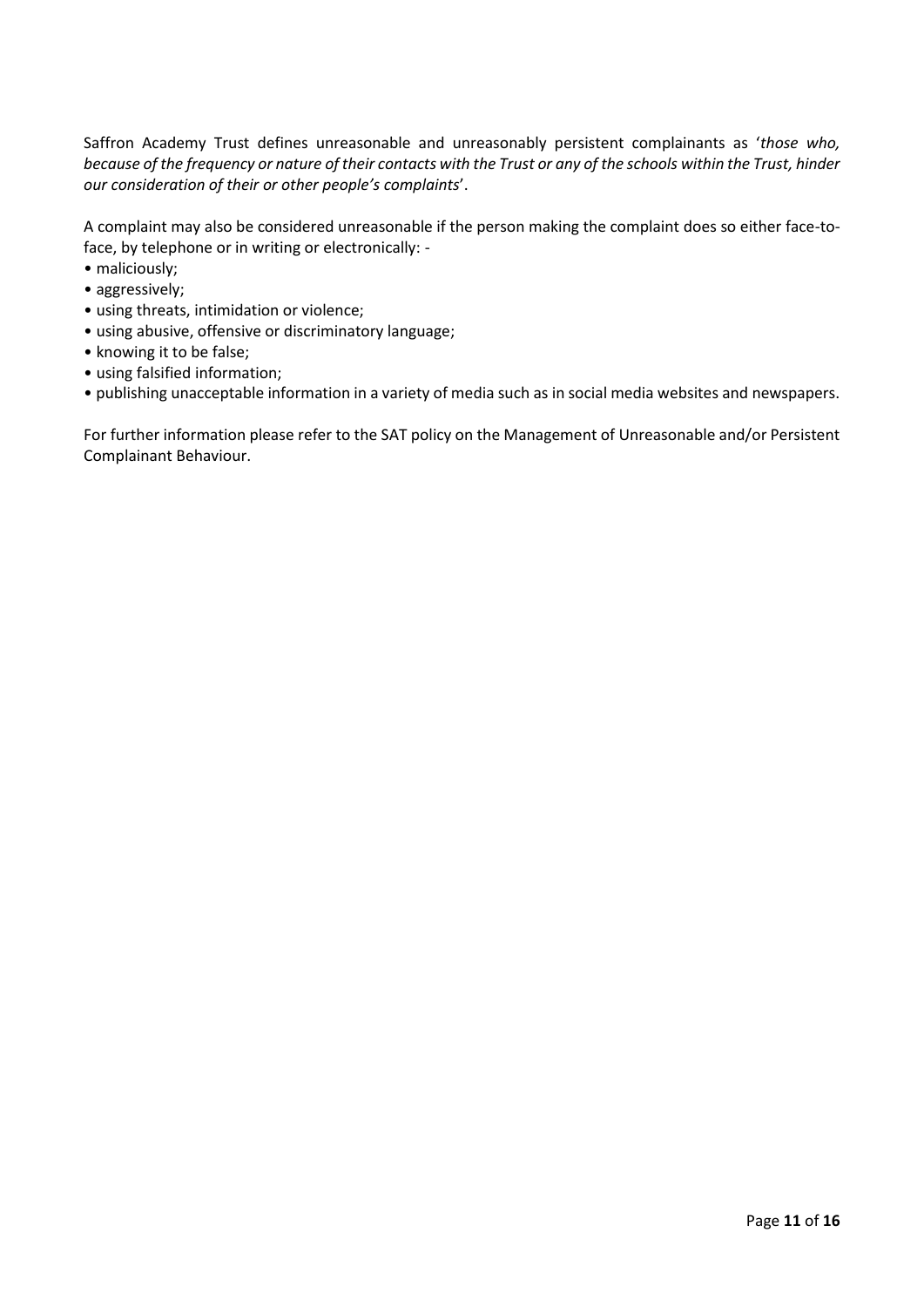Saffron Academy Trust defines unreasonable and unreasonably persistent complainants as '*those who, because of the frequency or nature of their contacts with the Trust or any of the schools within the Trust, hinder our consideration of their or other people's complaints*'.

A complaint may also be considered unreasonable if the person making the complaint does so either face-toface, by telephone or in writing or electronically: -

- maliciously;
- aggressively;
- using threats, intimidation or violence;
- using abusive, offensive or discriminatory language;
- knowing it to be false;
- using falsified information;
- publishing unacceptable information in a variety of media such as in social media websites and newspapers.

For further information please refer to the SAT policy on the Management of Unreasonable and/or Persistent Complainant Behaviour.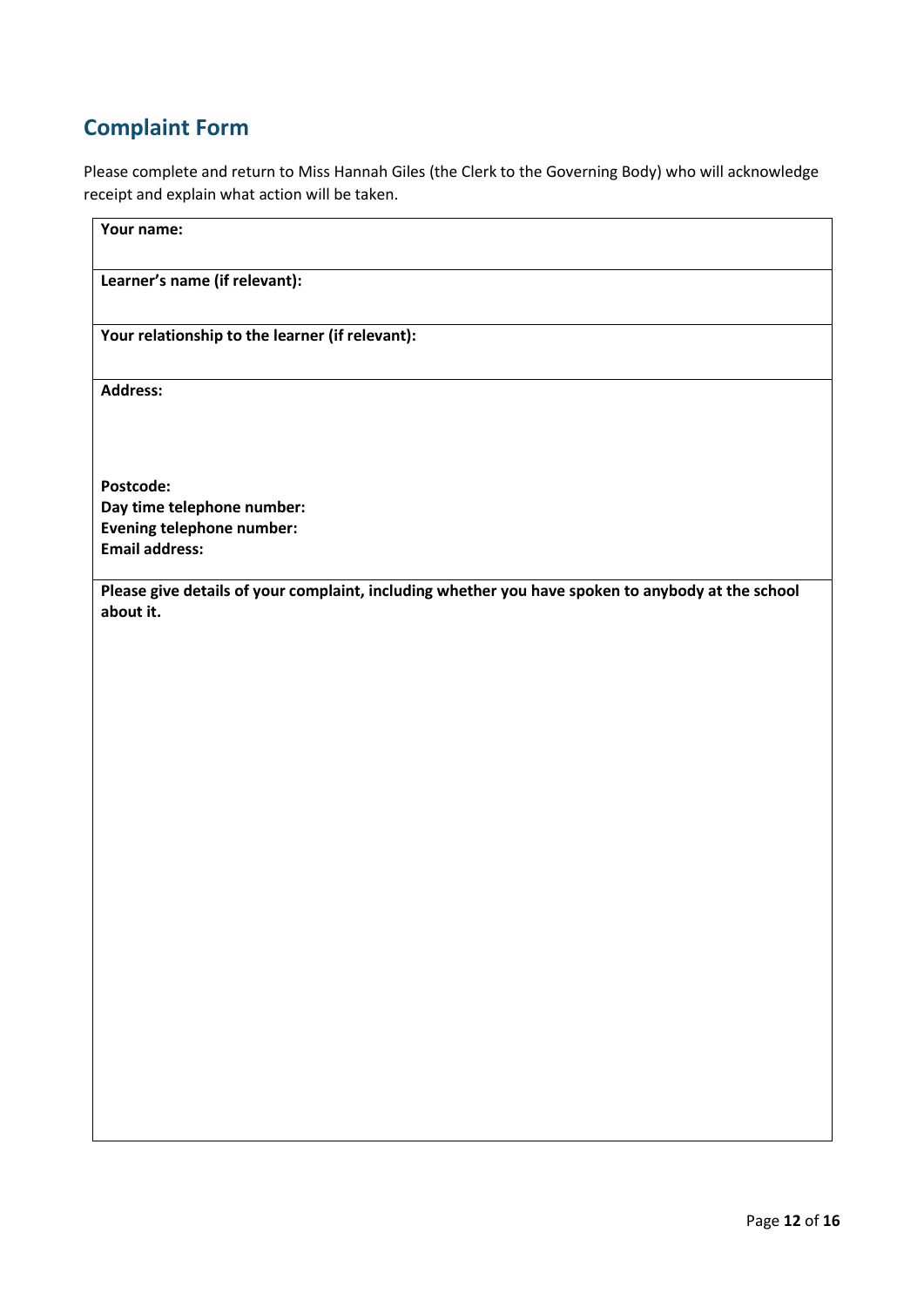# **Complaint Form**

Please complete and return to Miss Hannah Giles (the Clerk to the Governing Body) who will acknowledge receipt and explain what action will be taken.

| Your name:                                                                                        |
|---------------------------------------------------------------------------------------------------|
| Learner's name (if relevant):                                                                     |
| Your relationship to the learner (if relevant):                                                   |
| <b>Address:</b>                                                                                   |
|                                                                                                   |
| Postcode:                                                                                         |
| Day time telephone number:                                                                        |
| <b>Evening telephone number:</b>                                                                  |
| <b>Email address:</b>                                                                             |
| Please give details of your complaint, including whether you have spoken to anybody at the school |
| about it.                                                                                         |
|                                                                                                   |
|                                                                                                   |
|                                                                                                   |
|                                                                                                   |
|                                                                                                   |
|                                                                                                   |
|                                                                                                   |
|                                                                                                   |
|                                                                                                   |
|                                                                                                   |
|                                                                                                   |
|                                                                                                   |
|                                                                                                   |
|                                                                                                   |
|                                                                                                   |
|                                                                                                   |
|                                                                                                   |
|                                                                                                   |
|                                                                                                   |
|                                                                                                   |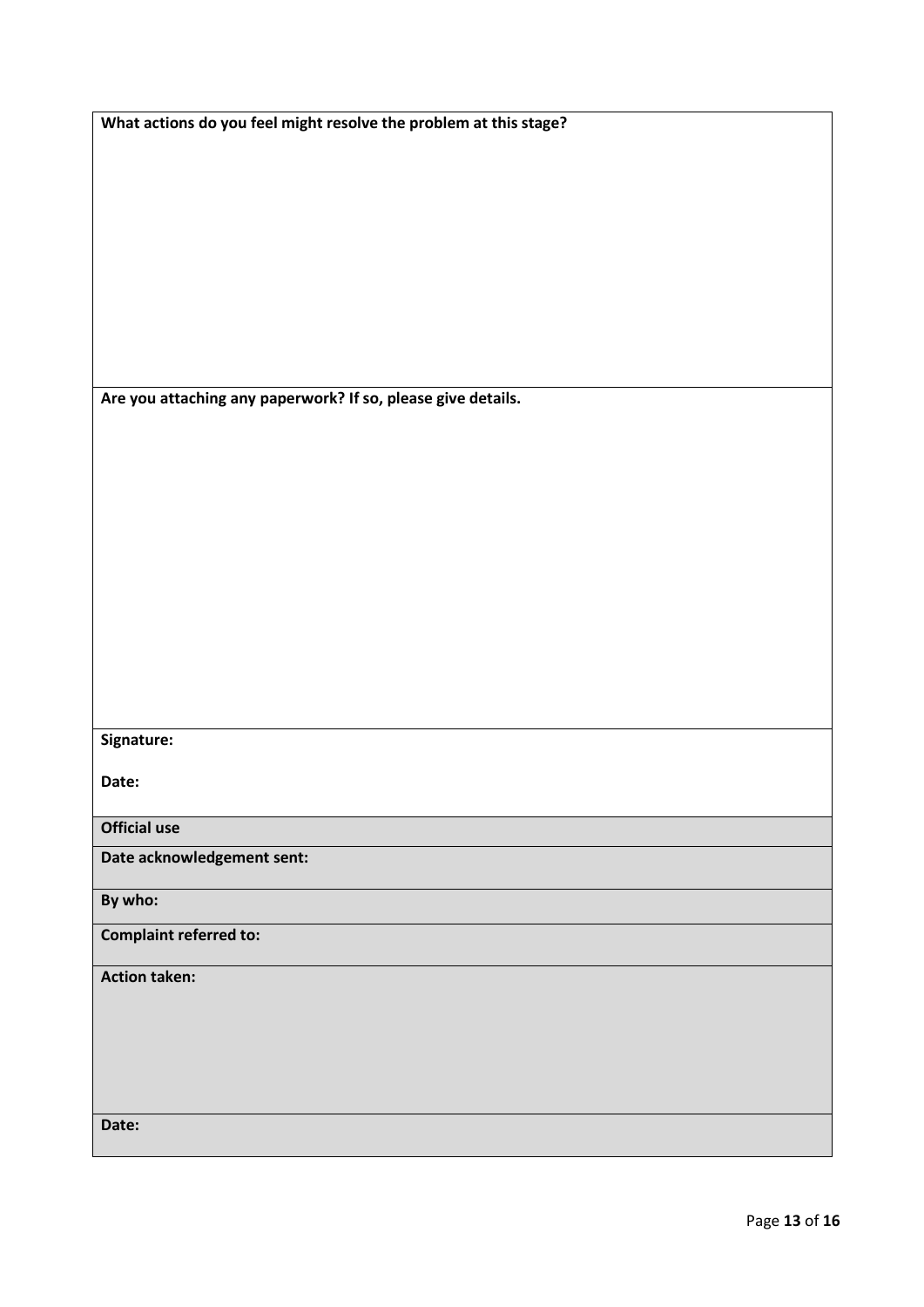**What actions do you feel might resolve the problem at this stage?**

**Are you attaching any paperwork? If so, please give details.**

#### **Signature:**

**Date:**

**Official use**

**Date acknowledgement sent:**

**By who:** 

**Complaint referred to:**

**Action taken:** 

**Date:**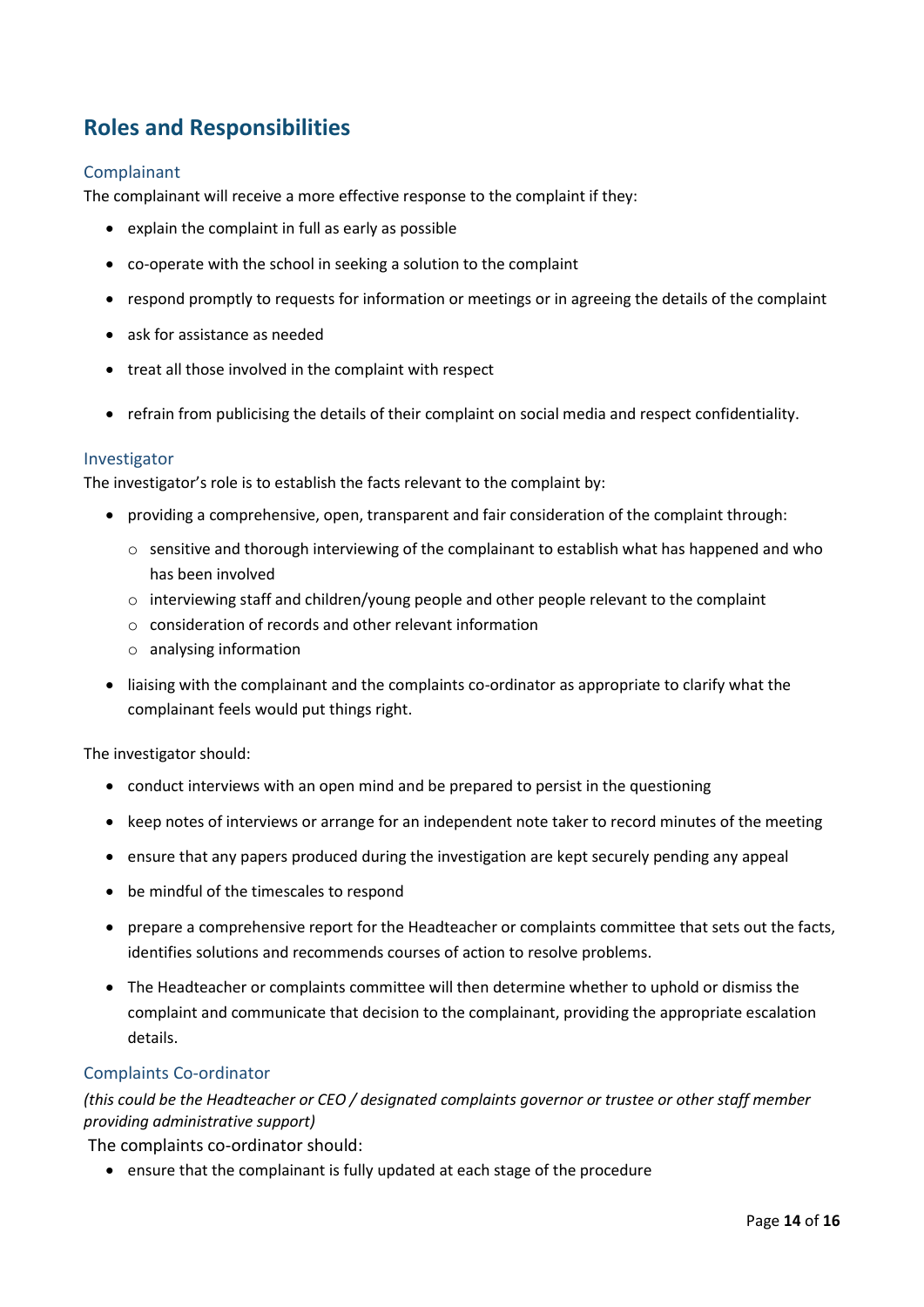### **Roles and Responsibilities**

#### Complainant

The complainant will receive a more effective response to the complaint if they:

- explain the complaint in full as early as possible
- co-operate with the school in seeking a solution to the complaint
- respond promptly to requests for information or meetings or in agreeing the details of the complaint
- ask for assistance as needed
- treat all those involved in the complaint with respect
- refrain from publicising the details of their complaint on social media and respect confidentiality.

#### Investigator

The investigator's role is to establish the facts relevant to the complaint by:

- providing a comprehensive, open, transparent and fair consideration of the complaint through:
	- $\circ$  sensitive and thorough interviewing of the complainant to establish what has happened and who has been involved
	- o interviewing staff and children/young people and other people relevant to the complaint
	- $\circ$  consideration of records and other relevant information
	- o analysing information
- liaising with the complainant and the complaints co-ordinator as appropriate to clarify what the complainant feels would put things right.

The investigator should:

- conduct interviews with an open mind and be prepared to persist in the questioning
- keep notes of interviews or arrange for an independent note taker to record minutes of the meeting
- ensure that any papers produced during the investigation are kept securely pending any appeal
- be mindful of the timescales to respond
- prepare a comprehensive report for the Headteacher or complaints committee that sets out the facts, identifies solutions and recommends courses of action to resolve problems.
- The Headteacher or complaints committee will then determine whether to uphold or dismiss the complaint and communicate that decision to the complainant, providing the appropriate escalation details.

#### Complaints Co-ordinator

*(this could be the Headteacher or CEO / designated complaints governor or trustee or other staff member providing administrative support)*

The complaints co-ordinator should:

• ensure that the complainant is fully updated at each stage of the procedure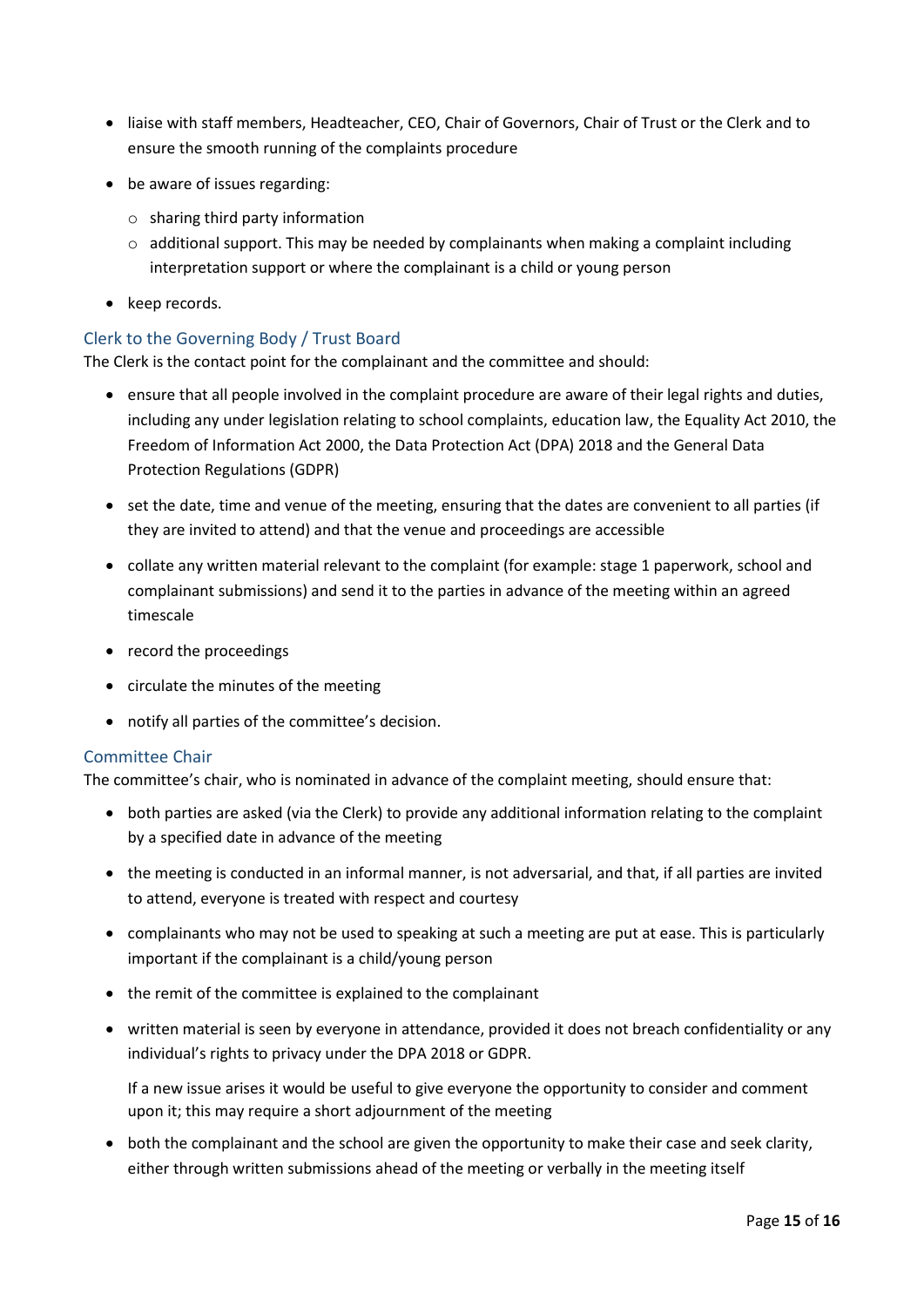- liaise with staff members, Headteacher, CEO, Chair of Governors, Chair of Trust or the Clerk and to ensure the smooth running of the complaints procedure
- be aware of issues regarding:
	- o sharing third party information
	- $\circ$  additional support. This may be needed by complainants when making a complaint including interpretation support or where the complainant is a child or young person
- keep records.

#### Clerk to the Governing Body / Trust Board

The Clerk is the contact point for the complainant and the committee and should:

- ensure that all people involved in the complaint procedure are aware of their legal rights and duties, including any under legislation relating to school complaints, education law, the Equality Act 2010, the Freedom of Information Act 2000, the Data Protection Act (DPA) 2018 and the General Data Protection Regulations (GDPR)
- set the date, time and venue of the meeting, ensuring that the dates are convenient to all parties (if they are invited to attend) and that the venue and proceedings are accessible
- collate any written material relevant to the complaint (for example: stage 1 paperwork, school and complainant submissions) and send it to the parties in advance of the meeting within an agreed timescale
- record the proceedings
- circulate the minutes of the meeting
- notify all parties of the committee's decision.

#### Committee Chair

The committee's chair, who is nominated in advance of the complaint meeting, should ensure that:

- both parties are asked (via the Clerk) to provide any additional information relating to the complaint by a specified date in advance of the meeting
- the meeting is conducted in an informal manner, is not adversarial, and that, if all parties are invited to attend, everyone is treated with respect and courtesy
- complainants who may not be used to speaking at such a meeting are put at ease. This is particularly important if the complainant is a child/young person
- the remit of the committee is explained to the complainant
- written material is seen by everyone in attendance, provided it does not breach confidentiality or any individual's rights to privacy under the DPA 2018 or GDPR.

If a new issue arises it would be useful to give everyone the opportunity to consider and comment upon it; this may require a short adjournment of the meeting

• both the complainant and the school are given the opportunity to make their case and seek clarity, either through written submissions ahead of the meeting or verbally in the meeting itself